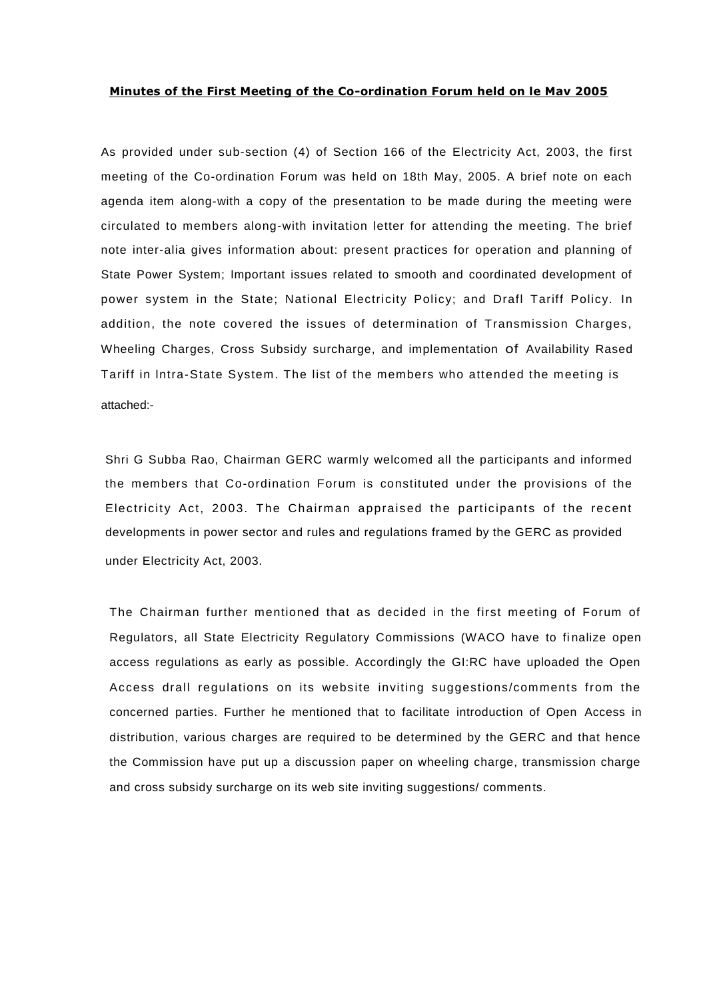## **Minutes of the First Meeting of the Co-ordination Forum held on le Mav 2005**

As provided under sub-section (4) of Section 166 of the Electricity Act, 2003, the first meeting of the Co-ordination Forum was held on 18th May, 2005. A brief note on each agenda item along-with a copy of the presentation to be made during the meeting were circulated to members along-with invitation letter for attending the meeting. The brief note inter-alia gives information about: present practices for operation and planning of State Power System; Important issues related to smooth and coordinated development of power system in the State; National Electricity Policy; and Drafl Tariff Policy. In addition, the note covered the issues of determination of Transmission Charges, Wheeling Charges, Cross Subsidy surcharge, and implementation of Availability Rased Tariff in lntra-State System. The list of the members who attended the meeting is attached:-

Shri G Subba Rao, Chairman GERC warmly welcomed all the participants and informed the members that Co-ordination Forum is constituted under the provisions of the Electricity Act, 2003. The Chairman appraised the participants of the recent developments in power sector and rules and regulations framed by the GERC as provided under Electricity Act, 2003.

The Chairman further mentioned that as decided in the first meeting of Forum of Regulators, all State Electricity Regulatory Commissions (WACO have to finalize open access regulations as early as possible. Accordingly the GI:RC have uploaded the Open Access drall regulations on its website inviting suggestions/comments from the concerned parties. Further he mentioned that to facilitate introduction of Open Access in distribution, various charges are required to be determined by the GERC and that hence the Commission have put up a discussion paper on wheeling charge, transmission charge and cross subsidy surcharge on its web site inviting suggestions/ comments.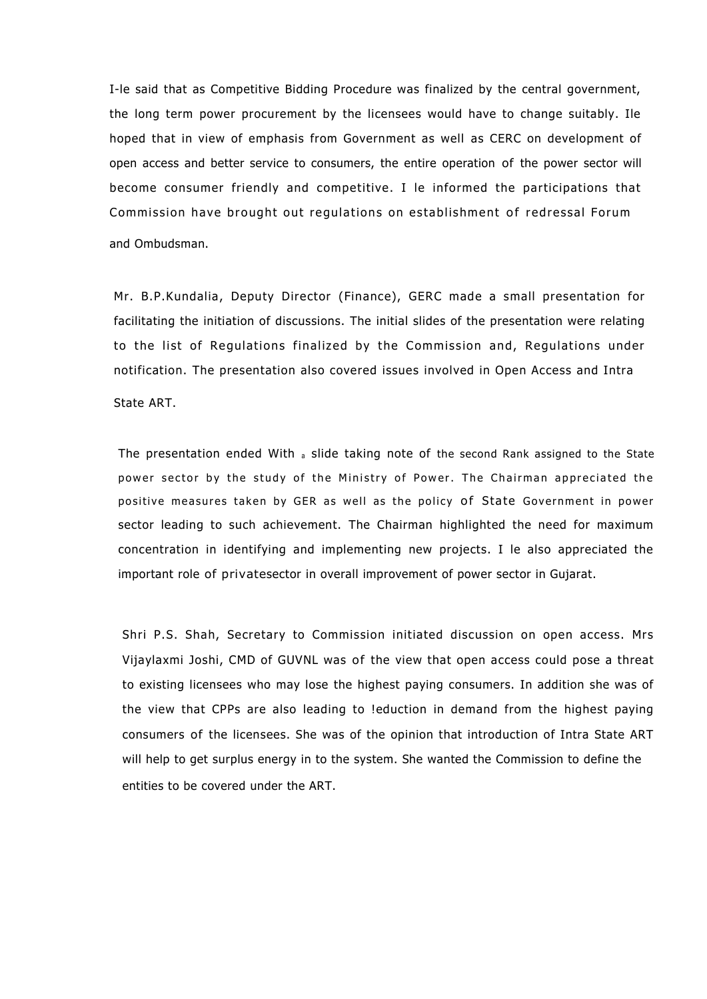I-le said that as Competitive Bidding Procedure was finalized by the central government, the long term power procurement by the licensees would have to change suitably. Ile hoped that in view of emphasis from Government as well as CERC on development of open access and better service to consumers, the entire operation of the power sector will become consumer friendly and competitive. I le informed the participations that Commission have brought out regulations on establishment of redressal Forum and Ombudsman.

Mr. B.P.Kundalia, Deputy Director (Finance), GERC made a small presentation for facilitating the initiation of discussions. The initial slides of the presentation were relating to the list of Regulations finalized by the Commission and, Regulations under notification. The presentation also covered issues involved in Open Access and Intra State ART.

The presentation ended With  $_8$  slide taking note of the second Rank assigned to the State power sector by the study of the Ministry of Power. The Chairman appreciated the positive measures taken by GER as well as the policy of State Government in power sector leading to such achievement. The Chairman highlighted the need for maximum concentration in identifying and implementing new projects. I le also appreciated the important role of privatesector in overall improvement of power sector in Gujarat.

Shri P.S. Shah, Secretary to Commission initiated discussion on open access. Mrs Vijaylaxmi Joshi, CMD of GUVNL was of the view that open access could pose a threat to existing licensees who may lose the highest paying consumers. In addition she was of the view that CPPs are also leading to !eduction in demand from the highest paying consumers of the licensees. She was of the opinion that introduction of Intra State ART will help to get surplus energy in to the system. She wanted the Commission to define the entities to be covered under the ART.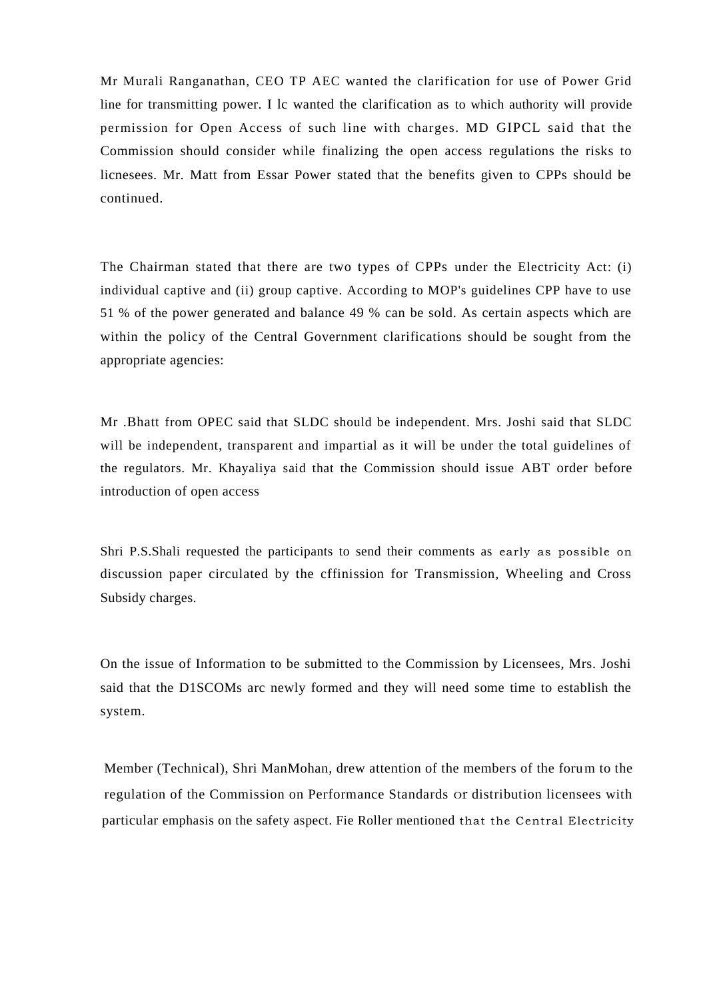Mr Murali Ranganathan, CEO TP AEC wanted the clarification for use of Power Grid line for transmitting power. I lc wanted the clarification as to which authority will provide permission for Open Access of such line with charges. MD GIPCL said that the Commission should consider while finalizing the open access regulations the risks to licnesees. Mr. Matt from Essar Power stated that the benefits given to CPPs should be continued.

The Chairman stated that there are two types of CPPs under the Electricity Act: (i) individual captive and (ii) group captive. According to MOP's guidelines CPP have to use 51 % of the power generated and balance 49 % can be sold. As certain aspects which are within the policy of the Central Government clarifications should be sought from the appropriate agencies:

Mr .Bhatt from OPEC said that SLDC should be independent. Mrs. Joshi said that SLDC will be independent, transparent and impartial as it will be under the total guidelines of the regulators. Mr. Khayaliya said that the Commission should issue ABT order before introduction of open access

Shri P.S.Shali requested the participants to send their comments as early as possible on discussion paper circulated by the cffinission for Transmission, Wheeling and Cross Subsidy charges.

On the issue of Information to be submitted to the Commission by Licensees, Mrs. Joshi said that the D1SCOMs arc newly formed and they will need some time to establish the system.

Member (Technical), Shri ManMohan, drew attention of the members of the forum to the regulation of the Commission on Performance Standards or distribution licensees with particular emphasis on the safety aspect. Fie Roller mentioned that the Central Electricity